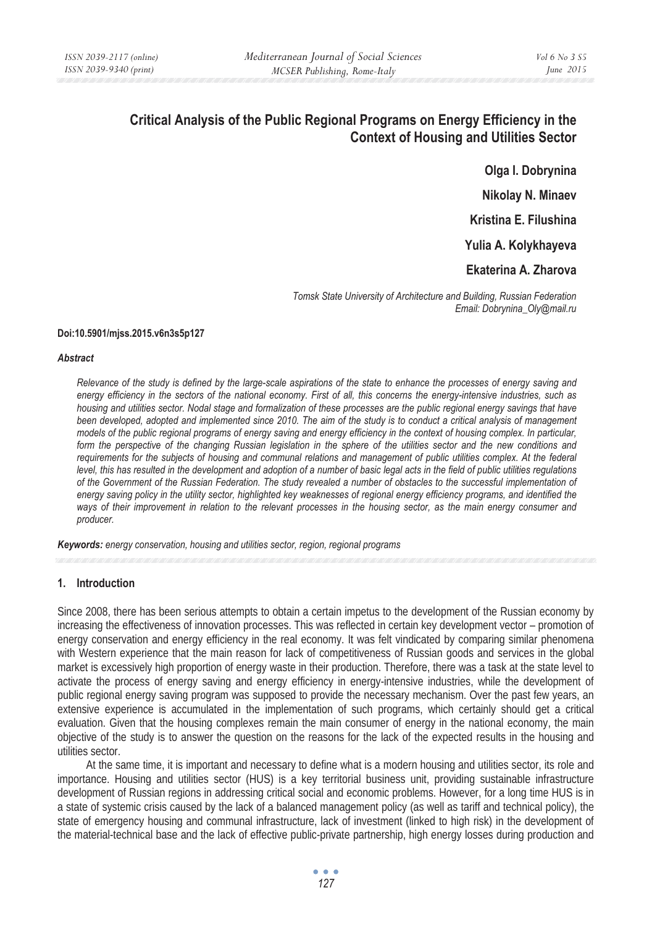# **Critical Analysis of the Public Regional Programs on Energy Efficiency in the Context of Housing and Utilities Sector**

**Olga I. Dobrynina Nikolay N. Minaev Kristina E. Filushina Yulia A. Kolykhayeva** 

**Ekaterina A. Zharova** 

*Tomsk State University of Architecture and Building, Russian Federation Email: Dobrynina\_Oly@mail.ru* 

### **Doi:10.5901/mjss.2015.v6n3s5p127**

#### *Abstract*

*Relevance of the study is defined by the large-scale aspirations of the state to enhance the processes of energy saving and energy efficiency in the sectors of the national economy. First of all, this concerns the energy-intensive industries, such as housing and utilities sector. Nodal stage and formalization of these processes are the public regional energy savings that have been developed, adopted and implemented since 2010. The aim of the study is to conduct a critical analysis of management models of the public regional programs of energy saving and energy efficiency in the context of housing complex. In particular,* form the perspective of the changing Russian legislation in the sphere of the utilities sector and the new conditions and *requirements for the subjects of housing and communal relations and management of public utilities complex. At the federal level, this has resulted in the development and adoption of a number of basic legal acts in the field of public utilities regulations of the Government of the Russian Federation. The study revealed a number of obstacles to the successful implementation of energy saving policy in the utility sector, highlighted key weaknesses of regional energy efficiency programs, and identified the ways of their improvement in relation to the relevant processes in the housing sector, as the main energy consumer and producer.* 

*Keywords: energy conservation, housing and utilities sector, region, regional programs*

# **1. Introduction**

Since 2008, there has been serious attempts to obtain a certain impetus to the development of the Russian economy by increasing the effectiveness of innovation processes. This was reflected in certain key development vector – promotion of energy conservation and energy efficiency in the real economy. It was felt vindicated by comparing similar phenomena with Western experience that the main reason for lack of competitiveness of Russian goods and services in the global market is excessively high proportion of energy waste in their production. Therefore, there was a task at the state level to activate the process of energy saving and energy efficiency in energy-intensive industries, while the development of public regional energy saving program was supposed to provide the necessary mechanism. Over the past few years, an extensive experience is accumulated in the implementation of such programs, which certainly should get a critical evaluation. Given that the housing complexes remain the main consumer of energy in the national economy, the main objective of the study is to answer the question on the reasons for the lack of the expected results in the housing and utilities sector.

At the same time, it is important and necessary to define what is a modern housing and utilities sector, its role and importance. Housing and utilities sector (HUS) is a key territorial business unit, providing sustainable infrastructure development of Russian regions in addressing critical social and economic problems. However, for a long time HUS is in a state of systemic crisis caused by the lack of a balanced management policy (as well as tariff and technical policy), the state of emergency housing and communal infrastructure, lack of investment (linked to high risk) in the development of the material-technical base and the lack of effective public-private partnership, high energy losses during production and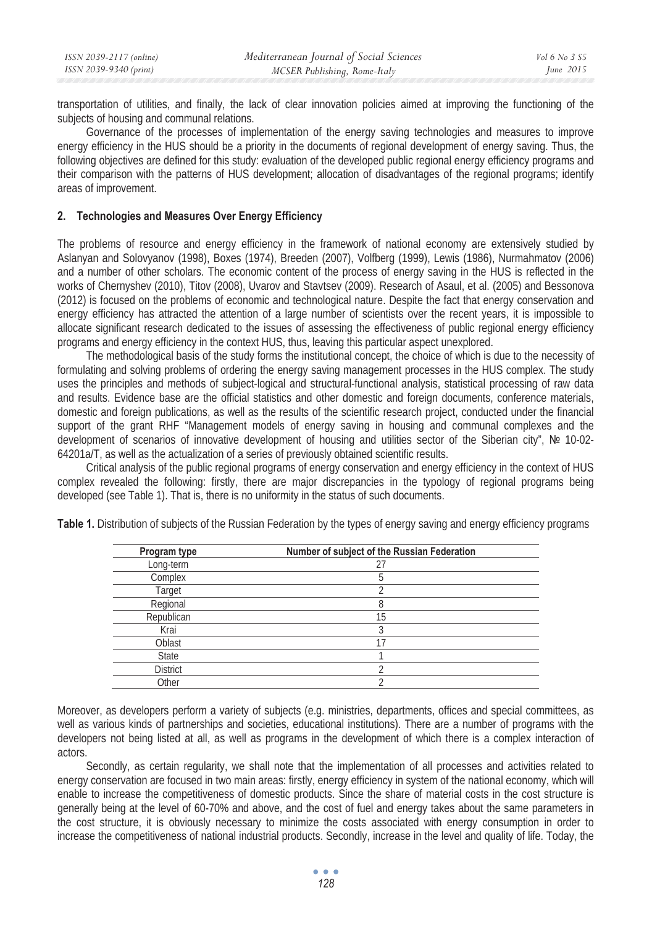transportation of utilities, and finally, the lack of clear innovation policies aimed at improving the functioning of the subjects of housing and communal relations.

Governance of the processes of implementation of the energy saving technologies and measures to improve energy efficiency in the HUS should be a priority in the documents of regional development of energy saving. Thus, the following objectives are defined for this study: evaluation of the developed public regional energy efficiency programs and their comparison with the patterns of HUS development; allocation of disadvantages of the regional programs; identify areas of improvement.

## **2. Technologies and Measures Over Energy Efficiency**

The problems of resource and energy efficiency in the framework of national economy are extensively studied by Aslanyan and Solovyanov (1998), Boxes (1974), Breeden (2007), Volfberg (1999), Lewis (1986), Nurmahmatov (2006) and a number of other scholars. The economic content of the process of energy saving in the HUS is reflected in the works of Chernyshev (2010), Titov (2008), Uvarov and Stavtsev (2009). Research of Asaul, et al. (2005) and Bessonova (2012) is focused on the problems of economic and technological nature. Despite the fact that energy conservation and energy efficiency has attracted the attention of a large number of scientists over the recent years, it is impossible to allocate significant research dedicated to the issues of assessing the effectiveness of public regional energy efficiency programs and energy efficiency in the context HUS, thus, leaving this particular aspect unexplored.

The methodological basis of the study forms the institutional concept, the choice of which is due to the necessity of formulating and solving problems of ordering the energy saving management processes in the HUS complex. The study uses the principles and methods of subject-logical and structural-functional analysis, statistical processing of raw data and results. Evidence base are the official statistics and other domestic and foreign documents, conference materials, domestic and foreign publications, as well as the results of the scientific research project, conducted under the financial support of the grant RHF "Management models of energy saving in housing and communal complexes and the development of scenarios of innovative development of housing and utilities sector of the Siberian city", № 10-02-64201a/T, as well as the actualization of a series of previously obtained scientific results.

Critical analysis of the public regional programs of energy conservation and energy efficiency in the context of HUS complex revealed the following: firstly, there are major discrepancies in the typology of regional programs being developed (see Table 1). That is, there is no uniformity in the status of such documents.

| Program type    | Number of subject of the Russian Federation |  |
|-----------------|---------------------------------------------|--|
| Long-term       | 27                                          |  |
| Complex         |                                             |  |
| Target          |                                             |  |
| Regional        |                                             |  |
| Republican      | 15                                          |  |
| Krai            |                                             |  |
| Oblast          | 17                                          |  |
| State           |                                             |  |
| <b>District</b> |                                             |  |
| Other           |                                             |  |

**Table 1.** Distribution of subjects of the Russian Federation by the types of energy saving and energy efficiency programs

Moreover, as developers perform a variety of subjects (e.g. ministries, departments, offices and special committees, as well as various kinds of partnerships and societies, educational institutions). There are a number of programs with the developers not being listed at all, as well as programs in the development of which there is a complex interaction of actors.

Secondly, as certain regularity, we shall note that the implementation of all processes and activities related to energy conservation are focused in two main areas: firstly, energy efficiency in system of the national economy, which will enable to increase the competitiveness of domestic products. Since the share of material costs in the cost structure is generally being at the level of 60-70% and above, and the cost of fuel and energy takes about the same parameters in the cost structure, it is obviously necessary to minimize the costs associated with energy consumption in order to increase the competitiveness of national industrial products. Secondly, increase in the level and quality of life. Today, the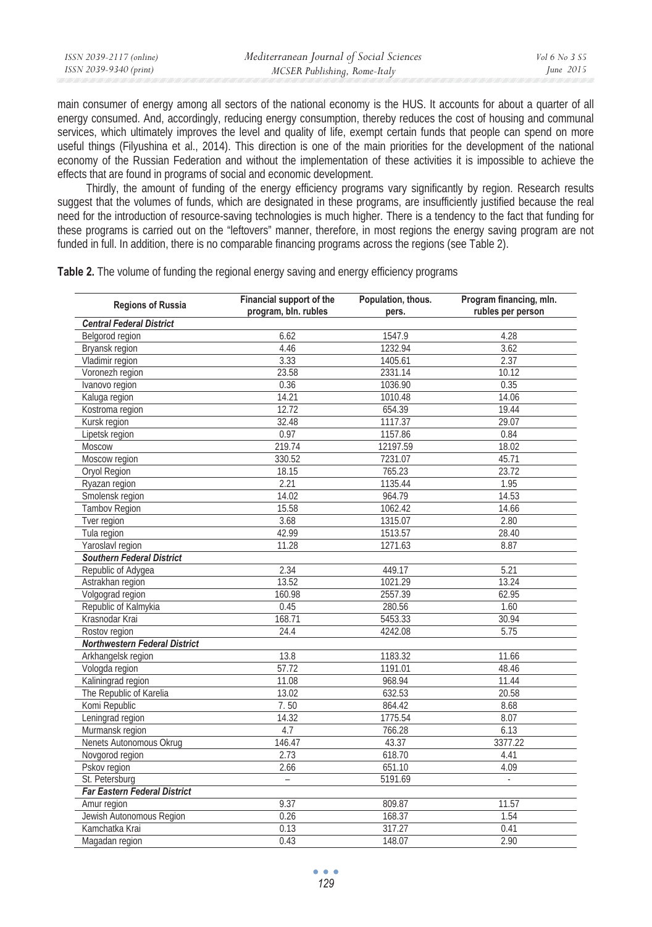| ISSN 2039-2117 (online) | Mediterranean Journal of Social Sciences | Vol 6 No. 3 S5 |
|-------------------------|------------------------------------------|----------------|
| ISSN 2039-9340 (print)  | MCSER Publishing, Rome-Italy             | June $2015$    |
|                         |                                          |                |

main consumer of energy among all sectors of the national economy is the HUS. It accounts for about a quarter of all energy consumed. And, accordingly, reducing energy consumption, thereby reduces the cost of housing and communal services, which ultimately improves the level and quality of life, exempt certain funds that people can spend on more useful things (Filyushina et al., 2014). This direction is one of the main priorities for the development of the national economy of the Russian Federation and without the implementation of these activities it is impossible to achieve the effects that are found in programs of social and economic development.

Thirdly, the amount of funding of the energy efficiency programs vary significantly by region. Research results suggest that the volumes of funds, which are designated in these programs, are insufficiently justified because the real need for the introduction of resource-saving technologies is much higher. There is a tendency to the fact that funding for these programs is carried out on the "leftovers" manner, therefore, in most regions the energy saving program are not funded in full. In addition, there is no comparable financing programs across the regions (see Table 2).

**Table 2.** The volume of funding the regional energy saving and energy efficiency programs

| <b>Regions of Russia</b>            | Financial support of the<br>program, bln. rubles | Population, thous.<br>pers. | Program financing, mln.<br>rubles per person |  |  |
|-------------------------------------|--------------------------------------------------|-----------------------------|----------------------------------------------|--|--|
| <b>Central Federal District</b>     |                                                  |                             |                                              |  |  |
| Belgorod region                     | 6.62                                             | 1547.9                      | 4.28                                         |  |  |
| Bryansk region                      | 4.46                                             | 1232.94                     | 3.62                                         |  |  |
| Vladimir region                     | 3.33                                             | 1405.61                     | 2.37                                         |  |  |
| Voronezh region                     | 23.58                                            | 2331.14                     | 10.12                                        |  |  |
| Ivanovo region                      | 0.36                                             | 1036.90                     | 0.35                                         |  |  |
| Kaluga region                       | 14.21                                            | 1010.48                     | 14.06                                        |  |  |
| Kostroma region                     | 12.72                                            | 654.39                      | 19.44                                        |  |  |
| Kursk region                        | 32.48                                            | 1117.37                     | 29.07                                        |  |  |
| Lipetsk region                      | 0.97                                             | 1157.86                     | 0.84                                         |  |  |
| Moscow                              | 219.74                                           | 12197.59                    | 18.02                                        |  |  |
| Moscow region                       | 330.52                                           | 7231.07                     | 45.71                                        |  |  |
| Oryol Region                        | 18.15                                            | 765.23                      | 23.72                                        |  |  |
| Ryazan region                       | 2.21                                             | 1135.44                     | 1.95                                         |  |  |
| Smolensk region                     | 14.02                                            | 964.79                      | 14.53                                        |  |  |
| <b>Tambov Region</b>                | 15.58                                            | 1062.42                     | 14.66                                        |  |  |
| Tver region                         | 3.68                                             | 1315.07                     | 2.80                                         |  |  |
| Tula region                         | 42.99                                            | 1513.57                     | 28.40                                        |  |  |
| Yaroslavl region                    | 11.28                                            | 1271.63                     | 8.87                                         |  |  |
| <b>Southern Federal District</b>    |                                                  |                             |                                              |  |  |
| Republic of Adygea                  | 2.34                                             | 449.17                      | 5.21                                         |  |  |
| Astrakhan region                    | 13.52                                            | 1021.29                     | 13.24                                        |  |  |
| Volgograd region                    | 160.98                                           | 2557.39                     | 62.95                                        |  |  |
| Republic of Kalmykia                | 0.45                                             | 280.56                      | 1.60                                         |  |  |
| Krasnodar Krai                      | 168.71                                           | 5453.33                     | 30.94                                        |  |  |
| Rostov region                       | 24.4                                             | 4242.08                     | 5.75                                         |  |  |
| Northwestern Federal District       |                                                  |                             |                                              |  |  |
| Arkhangelsk region                  | 13.8                                             | 1183.32                     | 11.66                                        |  |  |
| Vologda region                      | 57.72                                            | 1191.01                     | 48.46                                        |  |  |
| Kaliningrad region                  | 11.08                                            | 968.94                      | 11.44                                        |  |  |
| The Republic of Karelia             | 13.02                                            | 632.53                      | 20.58                                        |  |  |
| Komi Republic                       | 7.50                                             | 864.42                      | 8.68                                         |  |  |
| Leningrad region                    | 14.32                                            | 1775.54                     | 8.07                                         |  |  |
| Murmansk region                     | 4.7                                              | 766.28                      | 6.13                                         |  |  |
| Nenets Autonomous Okrug             | 146.47                                           | 43.37                       | 3377.22                                      |  |  |
| Novgorod region                     | 2.73                                             | 618.70                      | 4.41                                         |  |  |
| Pskov region                        | 2.66                                             | 651.10                      | 4.09                                         |  |  |
| St. Petersburg                      | $\equiv$                                         | 5191.69                     | $\mathcal{L}$                                |  |  |
| <b>Far Eastern Federal District</b> |                                                  |                             |                                              |  |  |
| Amur region                         | 9.37                                             | 809.87                      | 11.57                                        |  |  |
| Jewish Autonomous Region            | 0.26                                             | 168.37                      | 1.54                                         |  |  |
| Kamchatka Krai                      | 0.13                                             | 317.27                      | 0.41                                         |  |  |
| Magadan region                      | 0.43                                             | 148.07                      | 2.90                                         |  |  |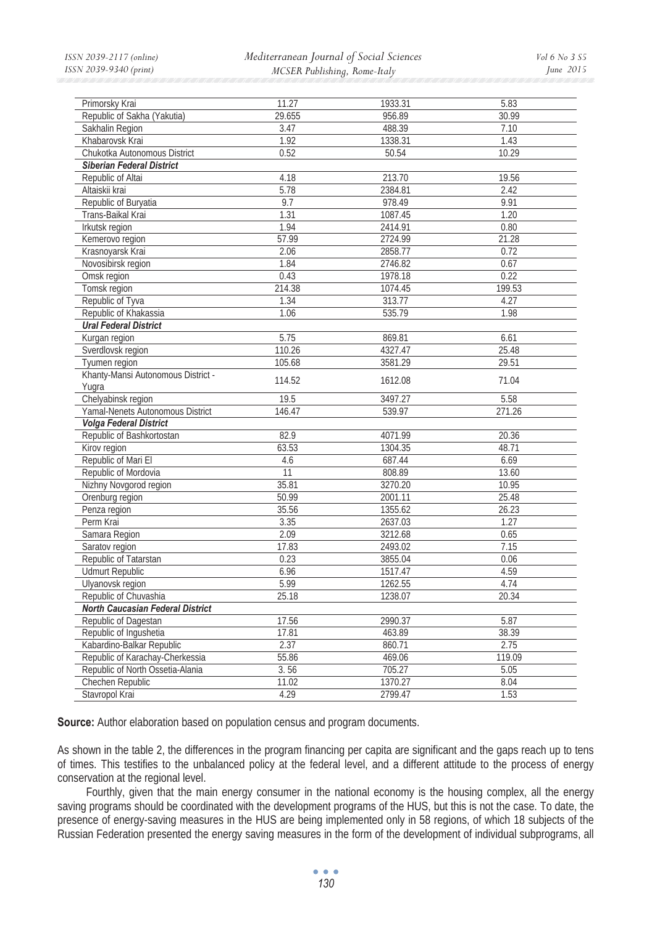*Mediterranean Journal of Social Sciences MCSER Publishing, Rome-Italy* 

| Primorsky Krai                                               | 11.27          | 1933.31           | 5.83           |
|--------------------------------------------------------------|----------------|-------------------|----------------|
| Republic of Sakha (Yakutia)                                  | 29.655         | 956.89            | 30.99          |
| Sakhalin Region                                              | 3.47           | 488.39            | 7.10           |
| Khabarovsk Krai                                              | 1.92           | 1338.31           | 1.43           |
| Chukotka Autonomous District                                 | 0.52           | 50.54             | 10.29          |
| <b>Siberian Federal District</b>                             |                |                   |                |
| Republic of Altai                                            | 4.18           | 213.70            | 19.56          |
| Altaiskii krai                                               | 5.78           | 2384.81           | 2.42           |
| Republic of Buryatia                                         | 9.7            | 978.49            | 9.91           |
| Trans-Baikal Krai                                            | 1.31           | 1087.45           | 1.20           |
| Irkutsk region                                               | 1.94           | 2414.91           | 0.80           |
| Kemerovo region                                              | 57.99          | 2724.99           | 21.28          |
| Krasnoyarsk Krai                                             | 2.06           | 2858.77           | 0.72           |
| Novosibirsk region                                           | 1.84           | 2746.82           | 0.67           |
| Omsk region                                                  | 0.43           | 1978.18           | 0.22           |
| Tomsk region                                                 | 214.38         | 1074.45           | 199.53         |
| Republic of Tyva                                             | 1.34           | 313.77            | 4.27           |
| Republic of Khakassia                                        | 1.06           | 535.79            | 1.98           |
| <b>Ural Federal District</b>                                 |                |                   |                |
| Kurgan region                                                | 5.75           | 869.81            | 6.61           |
| Sverdlovsk region                                            | 110.26         | 4327.47           | 25.48          |
| Tyumen region                                                | 105.68         | 3581.29           | 29.51          |
| Khanty-Mansi Autonomous District -                           | 114.52         | 1612.08           | 71.04          |
| Yuqra                                                        |                |                   |                |
| Chelyabinsk region                                           | 19.5           | 3497.27           | 5.58           |
| Yamal-Nenets Autonomous District                             | 146.47         | 539.97            | 271.26         |
| <b>Volga Federal District</b>                                |                |                   |                |
| Republic of Bashkortostan                                    | 82.9           | 4071.99           | 20.36          |
| Kirov region                                                 | 63.53          | 1304.35           | 48.71          |
| Republic of Mari El                                          | 4.6            | 687.44            | 6.69           |
| Republic of Mordovia                                         | 11             | 808.89            | 13.60          |
| Nizhny Novgorod region                                       | 35.81          | 3270.20           | 10.95          |
| Orenburg region                                              | 50.99          | 2001.11           | 25.48          |
| Penza region                                                 | 35.56          | 1355.62           | 26.23          |
| Perm Krai                                                    | 3.35           | 2637.03           | 1.27           |
| Samara Region                                                | 2.09           | 3212.68           | 0.65           |
| Saratov region                                               | 17.83          | 2493.02           | 7.15           |
| Republic of Tatarstan                                        | 0.23           | 3855.04           | 0.06           |
| <b>Udmurt Republic</b>                                       | 6.96           | 1517.47           | 4.59           |
| Ulyanovsk region                                             | 5.99           | 1262.55           | 4.74           |
| Republic of Chuvashia                                        | 25.18          | 1238.07           | 20.34          |
| <b>North Caucasian Federal District</b>                      |                |                   |                |
| Republic of Dagestan<br>Republic of Ingushetia               | 17.56<br>17.81 | 2990.37<br>463.89 | 5.87<br>38.39  |
|                                                              |                |                   |                |
| Kabardino-Balkar Republic<br>Republic of Karachay-Cherkessia | 2.37<br>55.86  | 860.71<br>469.06  | 2.75<br>119.09 |
| Republic of North Ossetia-Alania                             | 3.56           | 705.27            | 5.05           |
| Chechen Republic                                             | 11.02          | 1370.27           | 8.04           |
|                                                              | 4.29           | 2799.47           | 1.53           |
| Stavropol Krai                                               |                |                   |                |

**Source:** Author elaboration based on population census and program documents.

As shown in the table 2, the differences in the program financing per capita are significant and the gaps reach up to tens of times. This testifies to the unbalanced policy at the federal level, and a different attitude to the process of energy conservation at the regional level.

Fourthly, given that the main energy consumer in the national economy is the housing complex, all the energy saving programs should be coordinated with the development programs of the HUS, but this is not the case. To date, the presence of energy-saving measures in the HUS are being implemented only in 58 regions, of which 18 subjects of the Russian Federation presented the energy saving measures in the form of the development of individual subprograms, all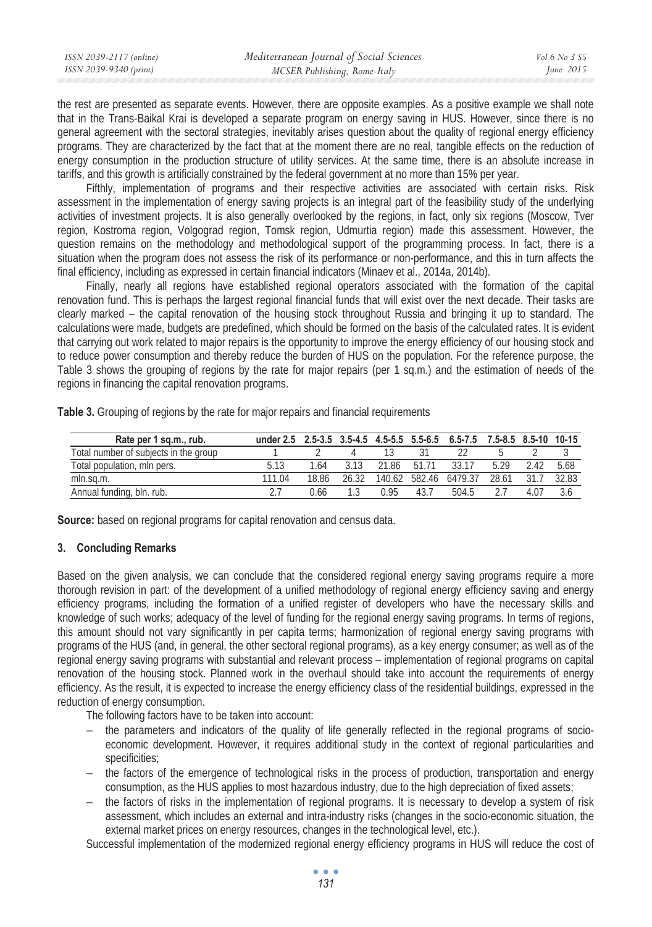| ISSN 2039-2117 (online) | Mediterranean Journal of Social Sciences | Vol 6 No 3 S5 |
|-------------------------|------------------------------------------|---------------|
| ISSN 2039-9340 (print)  | MCSER Publishing, Rome-Italy             | June $2015$   |
|                         |                                          |               |

the rest are presented as separate events. However, there are opposite examples. As a positive example we shall note that in the Trans-Baikal Krai is developed a separate program on energy saving in HUS. However, since there is no general agreement with the sectoral strategies, inevitably arises question about the quality of regional energy efficiency programs. They are characterized by the fact that at the moment there are no real, tangible effects on the reduction of energy consumption in the production structure of utility services. At the same time, there is an absolute increase in tariffs, and this growth is artificially constrained by the federal government at no more than 15% per year.

Fifthly, implementation of programs and their respective activities are associated with certain risks. Risk assessment in the implementation of energy saving projects is an integral part of the feasibility study of the underlying activities of investment projects. It is also generally overlooked by the regions, in fact, only six regions (Moscow, Tver region, Kostroma region, Volgograd region, Tomsk region, Udmurtia region) made this assessment. However, the question remains on the methodology and methodological support of the programming process. In fact, there is a situation when the program does not assess the risk of its performance or non-performance, and this in turn affects the final efficiency, including as expressed in certain financial indicators (Minaev et al., 2014a, 2014b).

Finally, nearly all regions have established regional operators associated with the formation of the capital renovation fund. This is perhaps the largest regional financial funds that will exist over the next decade. Their tasks are clearly marked – the capital renovation of the housing stock throughout Russia and bringing it up to standard. The calculations were made, budgets are predefined, which should be formed on the basis of the calculated rates. It is evident that carrying out work related to major repairs is the opportunity to improve the energy efficiency of our housing stock and to reduce power consumption and thereby reduce the burden of HUS on the population. For the reference purpose, the Table 3 shows the grouping of regions by the rate for major repairs (per 1 sq.m.) and the estimation of needs of the regions in financing the capital renovation programs.

| Rate per 1 sq.m., rub.                | under 2.5 |       |      | $2.5-3.5$ $3.5-4.5$ $4.5-5.5$ $5.5-6.5$ |       | 6.5-7.5 7.5-8.5 8.5-10 10-15 |       |      |       |
|---------------------------------------|-----------|-------|------|-----------------------------------------|-------|------------------------------|-------|------|-------|
| Total number of subjects in the group |           |       |      |                                         |       |                              |       |      |       |
| Total population, mln pers.           |           | l 64  |      | 21.86                                   | 51 71 | 3317                         | 5.29  | 2.42 | 5.68  |
| mln.sa.m.                             | 111 04    | 18.86 | 2632 | 140.62                                  | 58246 | 6479.37                      | 28.61 |      | 32.83 |
| Annual funding, bln. rub.             |           | ე 66  |      | በ    ዓ5                                 | 43.7  | 504.5                        |       | 4.07 |       |

**Table 3.** Grouping of regions by the rate for major repairs and financial requirements

**Source:** based on regional programs for capital renovation and census data.

# **3. Concluding Remarks**

Based on the given analysis, we can conclude that the considered regional energy saving programs require a more thorough revision in part: of the development of a unified methodology of regional energy efficiency saving and energy efficiency programs, including the formation of a unified register of developers who have the necessary skills and knowledge of such works; adequacy of the level of funding for the regional energy saving programs. In terms of regions, this amount should not vary significantly in per capita terms; harmonization of regional energy saving programs with programs of the HUS (and, in general, the other sectoral regional programs), as a key energy consumer; as well as of the regional energy saving programs with substantial and relevant process – implementation of regional programs on capital renovation of the housing stock. Planned work in the overhaul should take into account the requirements of energy efficiency. As the result, it is expected to increase the energy efficiency class of the residential buildings, expressed in the reduction of energy consumption.

The following factors have to be taken into account:

- − the parameters and indicators of the quality of life generally reflected in the regional programs of socioeconomic development. However, it requires additional study in the context of regional particularities and specificities;
- − the factors of the emergence of technological risks in the process of production, transportation and energy consumption, as the HUS applies to most hazardous industry, due to the high depreciation of fixed assets;
- the factors of risks in the implementation of regional programs. It is necessary to develop a system of risk assessment, which includes an external and intra-industry risks (changes in the socio-economic situation, the external market prices on energy resources, changes in the technological level, etc.).

Successful implementation of the modernized regional energy efficiency programs in HUS will reduce the cost of